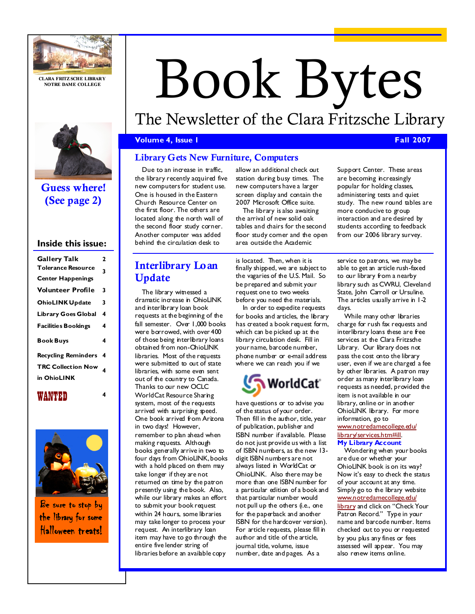

CLARA FRITZ SCHE LIBRARY NOTRE DAME COLLEGE



Guess where! (See page 2)

#### Inside this issue:

| <b>Gallery Talk</b>        | 2 |
|----------------------------|---|
| <b>Tolerance Resource</b>  | 3 |
| <b>Center Happenings</b>   |   |
| <b>Volunteer Profile</b>   | 3 |
| <b>OhioLINK Update</b>     | 3 |
| <b>Library Goes Global</b> | 4 |
| <b>Facilities Bookings</b> | 4 |
| Book Buys                  | 4 |
| <b>Recycling Reminders</b> | 4 |
| <b>TRC Collection Now</b>  | 4 |
| in OhioLINK                |   |

## WANTED



Be sure to stop by the library for some Halloween treats!

# Book Bytes

# The Newsletter of the Clara Fritzsche Library

#### Volume 4, Issue 1 Fall 2007

## Library Gets New Furniture, Computers

Due to an increase in traffic, the library recently acquired five new computers for student use. One is housed in the Eastern Church Resource Center on the first floor. The others are located along the north wall of the second floor study corner. Another computer was added behind the circulation desk to

The library witnessed a dramatic increase in OhioLINK and interlibrary loan book requests at the beginning of the fall semester. Over 1,000 books were borrowed, with over 400 of those being interlibrary loans obtained from non-OhioLINK libraries. Most of the requests were submitted to out of state libraries, with some even sent out of the country to Canada. Thanks to our new OCLC WorldCat Resource Sharing system, most of the requests arrived with surprising speed. One book arrived from Arizona in two days! However, remember to plan ahead when making requests. Although books generally arrive in two to four days from OhioLINK, books with a hold placed on them may take longer if they are not returned on time by the patron presently using the book. Also, while our library makes an effort to submit your book request within 24 hours, some libraries may take longer to process your request. An interlibrary loan item may have to go through the entire five lender string of libraries before an available copy

Update

Interlibrary Loan

allow an additional check out station during busy times. The new computers have a larger screen display and contain the 2007 Microsoft Office suite.

The library is also awaiting the arrival of new solid oak tables and chairs for the second floor study corner and the open area outside the Academic

is located. Then, when it is finally shipped, we are subject to the vagaries of the U.S. Mail. So be prepared and submit your request one to two weeks before you need the materials.

In order to expedite requests for books and articles, the library has created a book request form, which can be picked up at the library circulation desk. Fill in your name, barcode number, phone number or e-mail address where we can reach you if we



have questions or to advise you of the status of your order. Then fill in the author, title, year of publication, publisher and ISBN number if available. Please do not just provide us with a list of ISBN numbers, as the new 13 digit ISBN numbers are not always listed in WorldCat or OhioLINK. Also there may be more than one ISBN number for a particular edition of a book and that particular number would not pull up the others (i.e., one for the paperback and another ISBN for the hardcover version). For article requests, please fill in author and title of the article, journal title, volume, issue number, date and pages. As a

Support Center. These areas are becoming increasingly popular for holding classes, administering tests and quiet study. The new round tables are more conducive to group interaction and are desired by students according to feedback from our 2006 library survey.

service to patrons, we may be able to get an article rush-faxed to our library from a nearby library such as CWRU, Cleveland State, John Carroll or Ursuline. The articles usually arrive in 1-2 days.

While many other libraries charge for rush fax requests and interlibrary loans these are free services at the Clara Fritzsche Library. Our library does not pass the cost onto the library user, even if we are charged a fee by other libraries. A patron may order as many interlibrary loan requests as needed, provided the item is not available in our library, online or in another OhioLINK library. For more information, go to www.notredamecollege.edu/ library/services.htm#ill. My Library Account

Wondering when your books are due or whether your OhioLINK book is on its way? Now it's easy to check the status of your account at any time. Simply go to the library website www.notredamecollege.edu/ library and click on "Check Your Patron Record." Type in your name and barcode number. Items checked out to you or requested by you plus any fines or fees assessed will appear. You may also renew items online.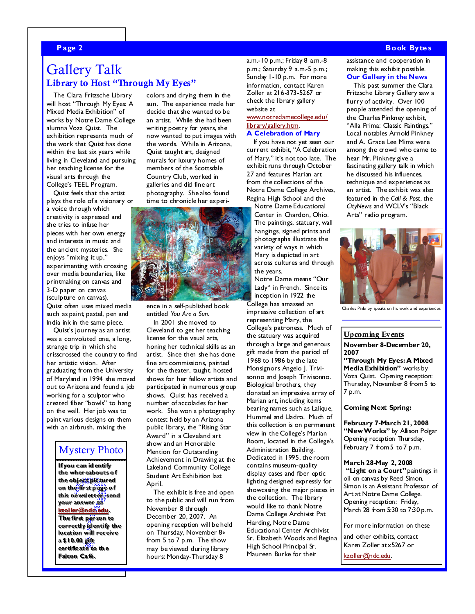### Page 2 Book Bytes and the set of the set of the set of the set of the set of the set of the set of the set of the set of the set of the set of the set of the set of the set of the set of the set of the set of the set of th

# Gallery Talk Library to Host "Through My Eyes"

The Clara Fritzsche Library will host "Through My Eyes: A Mixed Media Exhibition" of works by Notre Dame College alumna Voza Quist. The exhibition represents much of the work that Quist has done within the last six years while living in Cleveland and pursuing her teaching license for the visual arts through the College's TEEL Program.

Quist feels that the artist plays the role of a visionary or a voice through which creativity is expressed and she tries to infuse her pieces with her own energy and interests in music and the ancient mysteries. She enjoys "mixing it up," experimenting with crossing over media boundaries, like printmaking on canvas and 3-D paper on canvas (sculpture on canvas). Quist often uses mixed media such as paint, pastel, pen and

India ink in the same piece. Quist's journey as an artist was a convoluted one, a long, strange trip in which she crisscrossed the country to find her artistic vision. After graduating from the University of Maryland in 1994 she moved out to Arizona and found a job working for a sculptor who created fiber "bowls" to hang on the wall. Her job was to paint various designs on them with an airbrush, mixing the

## Mystery Photo

whereabouts of<br>bies plattured<br>in st page of<br>newsletter, send<br>answer to<br>answer to<br>first person to<br>ectly identify the<br>ion will receive<br>1.00 gift<br>ficate to the<br>ficate to the<br>pn Café. If you can id entify the wher eabouts o f the object pictured on the fir st p age o f this newsletter, send your answer to kzoller@ndc.edu. The first per son to correctly id entify the location will receive a \$10.00 gift certificate to th e Falcon Café.

colors and drying them in the sun. The experience made her decide that she wanted to be an artist. While she had been writing poetry for years, she now wanted to put images with the words. While in Arizona, Quist taught art, designed murals for luxury homes of members of the Scottsdale Country Club, worked in galleries and did fine art photography. She also found time to chronicle her experi-



ence in a self-published book entitled You Are a Sun.

In 2001 she moved to Cleveland to get her teaching license for the visual arts, honing her technical skills as an artist. Since then she has done fine art commissions, painted for the theater, taught, hosted shows for her fellow artists and participated in numerous group shows. Quist has received a number of accolades for her work. She won a photography contest held by an Arizona public library, the "Rising Star Award" in a Cleveland art show and an Honorable Mention for Outstanding Achievement in Drawing at the Lakeland Community College Student Art Exhibition last April.

The exhibit is free and open to the public and will run from November 8 through December 20, 2007. An opening reception will be held on Thursday, November 8th from 5 to 7 p.m. The show may be viewed during library hours: Monday-Thursday 8

a.m.-10 p.m.; Friday 8 a.m.-8 p.m.; Saturday 9 a.m.-5 p.m.; Sunday 1-10 p.m. For more information, contact Karen Zoller at 216-373-5267 or check the library gallery website at

#### www.notredamecollege.edu/ library/gallery.htm.

A Celebration of Mary If you have not yet seen our current exhibit, "A Celebration of Mary," it's not too late. The exhibit runs through October 27 and features Marian art from the collections of the Notre Dame College Archives, Regina High School and the Notre Dame Educational Center in Chardon, Ohio. The paintings, statuary, wall hangings, signed prints and photographs illustrate the

variety of ways in which Mary is depicted in art across cultures and through the years.

Notre Dame means "Our Lady" in French. Since its inception in 1922 the College has amassed an impressive collection of art representing Mary, the College's patroness. Much of the statuary was acquired through a large and generous gift made from the period of 1968 to 1986 by the late Monsignors Angelo J. Trivisonno and loseph Trivisonno. Biological brothers, they donated an impressive array of Marian art, including items bearing names such as Lalique, Hummel and Lladro. Much of this collection is on permanent view in the College's Marian Room, located in the College's Administration Building. Dedicated in 1995, the room contains museum-quality display cases and fiber optic lighting designed expressly for showcasing the major pieces in the collection. The library would like to thank Notre Dame College Archivist Pat Harding, Notre Dame Educational Center Archivist Sr. Elizabeth Woods and Regina High School Principal Sr. Maureen Burke for their

assistance and cooperation in making this exhibit possible. Our Gallery in the News

This past summer the Clara Fritzsche Library Gallery saw a flurry of activity. Over 100 people attended the opening of the Charles Pinkney exhibit, "Alla Prima: Classic Paintings." Local notables Arnold Pinkney and A. Grace Lee Mims were among the crowd who came to hear Mr. Pinkney give a fascinating gallery talk in which he discussed his influences, technique and experiences as an artist. The exhibit was also featured in the Call & Post, the CityNews and WCLV's "Black Arts" radio program.



Charles Pinkney speaks on his work and experiences

### Upcoming Events November 8-December 20, 2007

"Through My Eyes: A Mixed Media Exhibition" works by Voza Quist. Opening reception: Thursday, November 8 from 5 to 7 p.m.

Coming Next Spring:

February 7-March 21, 2008 "New Works" by Alison Polgar Opening reception Thursday, February 7 from 5 to 7 p.m.

March 28-May 2, 2008 "Light on a Court" paintings in oil on canvas by Reed Simon. Simon is an Assistant Professor of Art at Notre Dame College. Opening reception: Friday, March 28 from 5:30 to 7:30 p.m.

For more information on these

and other exhibits, contact Karen Zoller at x5267 or

kzoller@ndc.edu.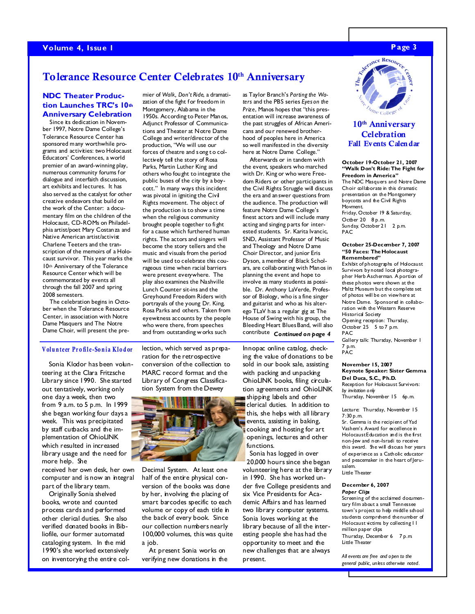# Tolerance Resource Center Celebrates 10<sup>th</sup> Anniversary

#### NDC Theater Production Launches TRC's 10th Anniversary Celebration

Since its dedication in November 1997, Notre Dame College's Tolerance Resource Center has sponsored many worthwhile programs and activities: two Holocaust Educators' Conferences, a world premier of an award-winning play, numerous community forums for dialogue and interfaith discussion, art exhibits and lectures. It has also served as the catalyst for other creative endeavors that build on the work of the Center: a documentary film on the children of the Holocaust, CD-ROMs on Philadelphia artist/poet Mary Costanza and Native American artist/activist Charlene Teeters and the transcription of the memoirs of a Holocaust survivor. This year marks the 10th Anniversary of the Tolerance Resource Center which will be commemorated by events all through the fall 2007 and spring 2008 semesters.

The celebration begins in October when the Tolerance Resource Center, in association with Notre Dame Masquers and The Notre Dame Choir, will present the premier of Walk, Don't Ride, a dramatization of the fight for freedom in Montgomery, Alabama in the 1950s. According to Peter Manos, Adjunct Professor of Communications and Theater at Notre Dame College and writer/director of the production, "We will use our forces of theatre and song t o collectively tell the story of Rosa Parks, Martin Luther King and others who fought to integrate the public buses of the city by a boycott." In many ways this incident was pivotal in igniting the Civil Rights movement. The object of the production is to show a time when the religious community brought people together to fi ght for a cause which furthered human rights. The actors and singers will become the story tellers and the music and visuals from the period will be used to celebrate this courageous time when racial barriers were present everywhere. The play also examines the Nashville Lunch Counter sit-ins and the Greyhound Freedom Riders with portrayals of the young Dr. King, Rosa Parks and others. Taken from eyewitness accounts by the people who were there, from speeches and from outstanding w orks such

#### Volunteer Profile-Sonia Klodor

Sonia Klodor has been volunteering at the Clara Fritzsche Library since 1990. She started out tentatively, working only one day a week, then two from 9 a.m. to 5 p.m. In 1999 she began working four days a week. This was precipitated by staff cutbacks and the implementation of OhioLINK which resulted in increased library usage and the need for more help. She

received her own desk, her own computer and is now an integral part of the library team.

Originally Sonia shelved books, wrote and counted process cards and performed other clerical duties. She also verified donated books in Bibliofile, our former automated cataloging system. In the mid 1990's she worked extensively on inventorying the entire collection, which served as preparation for the retrospective conversion of the collection to MARC record format and the Library of Congress Classification System from the Dewey



Decimal System. At least one half of the entire physical conversion of the books was done by her, involving the placing of smart barcodes specific to each volume or copy of each title in the back of every book. Since our collection numbers nearly 100,000 volumes, this was quite a job.

At present Sonia works on verifying new donations in the as Taylor Branch's Parting the Waters and the PBS series Eyes on the Prize, Manos hopes that "this presentation will increase awareness of the past struggles of African Americans and our renewed brotherhood of peoples here in America so well manifested in the diversity here at Notre Dame College."

Afterwards or in tandem with the event, speakers who marched with Dr. King or who were Freedom Riders or other participants in the Civil Rights Struggle will discuss the era and answer questions from the audience. The production will feature Notre Dame College's finest actors and will include many acting and singing parts for interested students. Sr. Karita Ivancic, SND, Assistant Professor of Music and Theology and Notre Dame Choir Director, and junior Eris Dyson, a member of Black Scholars, are collaborating with Manos in planning the event and hope to involve as many students as possible. Dr. Anthony LaVerde, Professor of Biology, who is a fine singer and guitarist and who as his alterego TLaV has a regular gig at The House of Swing with his group, the Bleeding Heart Blues Band, will also contribute Continued on page 4

Innopac online catalog, checking the value of donations to be sold in our book sale, assisting with packing and unpacking OhioLINK books, filing circulation agreements and OhioLINK shipping labels and other clerical duties. In addition to this, she helps with all library events, assisting in baking, cooking and hosting for art openings, lectures and other functions. Sonia has logged in over

20,000 hours since she began volunteering here at the library in 1990. She has worked under five College presidents and six Vice Presidents for Academic Affairs and has learned two library computer systems. Sonia loves working at the library because of all the interesting people she has had the opportunity to meet and the new challenges that are always present.



#### 10<sup>th</sup> Anniversary **Celebration** Fall Events Calen dar

#### October 19-October 21, 2007 "Walk Don't Ride: The Fight for Freedom in America"

The NDC Masquers and Notre Dame Choir collaborate in this dramatic presentation on the Montgomery boycotts and the Civil Rights Movment. Friday, October 19 & Saturday, Octber 20 8 p.m. Sunday, October 21 2 p.m.

#### October 25-December 7, 2007 "50 Faces: The Holocaust Remembered"

PAC

Exhibit of photographs of Holocaust Survivors by noted local photographer Herb Ascherman. A portion of these photos were shown at the Maltz Museum but the complete set of photos will be on view here at Notre Dame. Sponsored in collaboration with the Western Reserve Historical Society Opening reception: Thursday, October 25 5 to 7 p.m. PAC Gallery talk: Thursday, November 1

7 p.m. **PAC** 

#### November 15, 2007 Keynote Speaker: Sister Gemma Del Duca, S.C., Ph.D. Reception for Holocaust Survivors: by invitation only

Thursday, November 15 6p.m.

Lecture: Thursday, November 15 7:30 p.m.

Sr. Gemma is the recipient of Yad Vashem's Award for excellence in Holocaust Education and is the first non-Jew and non-Israeli to receive this award. She will discuss her years of experience as a Catholic educator and peacemaker in the heart of Jerusalem.

Little Theater

#### December 6, 2007

Paper Clips Screening of the acclaimed documentary film about a small Tennessee town's project to help middle school students comprehend the number of Holocaust victims by collecting II million paper clips Thursday, December 6 7 p.m. Little Theater

All events are free and open to the general public, unless otherwise noted.